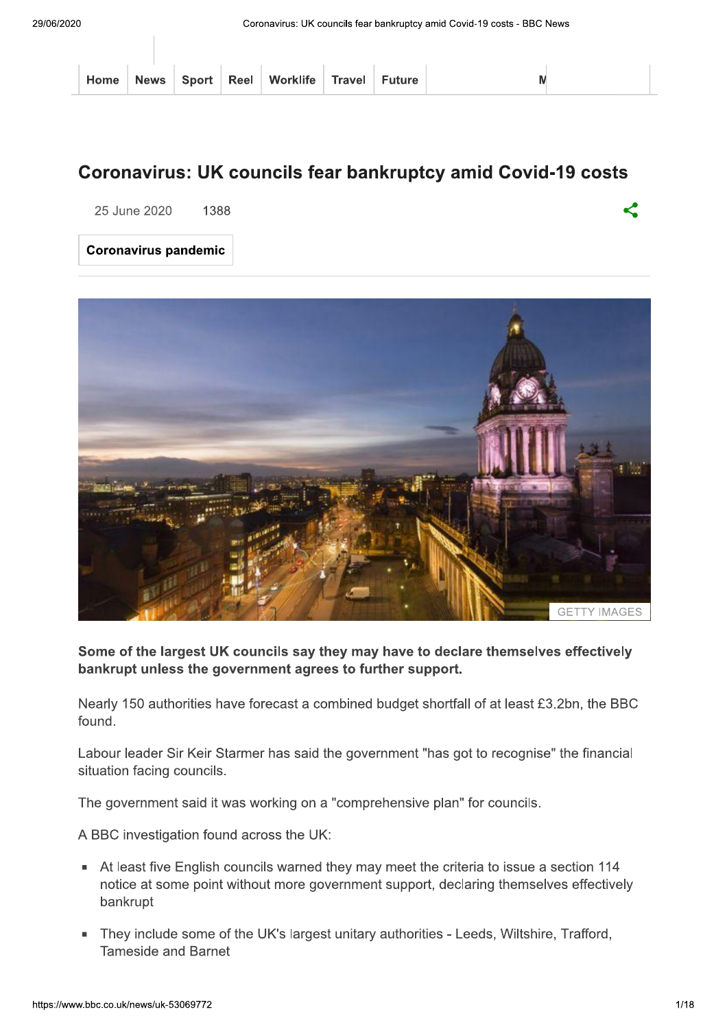|  |  | Home   News   Sport   Reel   Worklife   Travel   Future |  |  |
|--|--|---------------------------------------------------------|--|--|
|  |  |                                                         |  |  |

## **Coronavirus: UK councils fear bankruptcy amid Covid-19 costs**

25 June 2020 1388

**Coronavirus pandemic** 



#### Some of the largest UK councils say they may have to declare themselves effectively bankrupt unless the government agrees to further support.

Nearly 150 authorities have forecast a combined budget shortfall of at least £3.2bn, the BBC found

Labour leader Sir Keir Starmer has said the government "has got to recognise" the financial situation facing councils.

The government said it was working on a "comprehensive plan" for councils.

A BBC investigation found across the UK:

- At least five English councils warned they may meet the criteria to issue a section 114 notice at some point without more government support, declaring themselves effectively bankrupt
- They include some of the UK's largest unitary authorities Leeds, Wiltshire, Trafford, Tameside and Barnet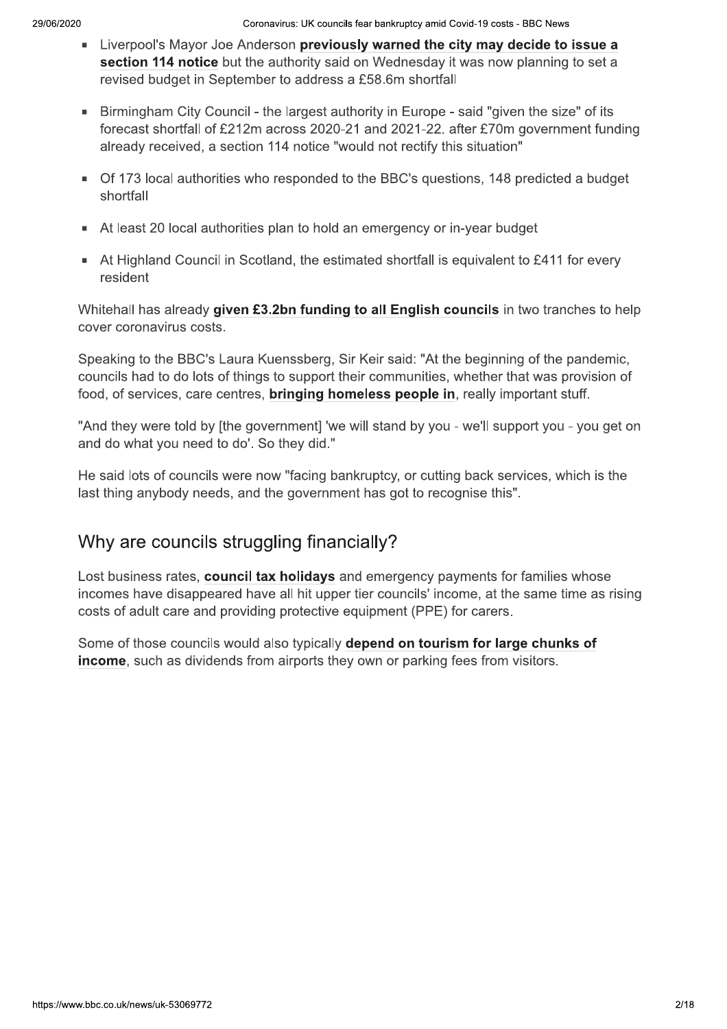- Liverpool's Mayor Joe Anderson previously warned the city may decide to issue a section 114 notice but the authority said on Wednesday it was now planning to set a revised budget in September to address a £58.6m shortfall
- Birmingham City Council the largest authority in Europe said "given the size" of its  $\blacksquare$ forecast shortfall of £212m across 2020-21 and 2021-22. after £70m government funding already received, a section 114 notice "would not rectify this situation"
- Of 173 local authorities who responded to the BBC's questions, 148 predicted a budget shortfall
- At least 20 local authorities plan to hold an emergency or in-year budget
- At Highland Council in Scotland, the estimated shortfall is equivalent to £411 for every resident

Whitehall has already given £3.2bn funding to all English councils in two tranches to help cover coronavirus costs.

Speaking to the BBC's Laura Kuenssberg, Sir Keir said: "At the beginning of the pandemic, councils had to do lots of things to support their communities, whether that was provision of food, of services, care centres, **bringing homeless people in**, really important stuff.

"And they were told by [the government] 'we will stand by you - we'll support you - you get on and do what you need to do'. So they did."

He said lots of councils were now "facing bankruptcy, or cutting back services, which is the last thing anybody needs, and the government has got to recognise this".

# Why are councils struggling financially?

Lost business rates, council tax holidays and emergency payments for families whose incomes have disappeared have all hit upper tier councils' income, at the same time as rising costs of adult care and providing protective equipment (PPE) for carers.

Some of those councils would also typically depend on tourism for large chunks of income, such as dividends from airports they own or parking fees from visitors.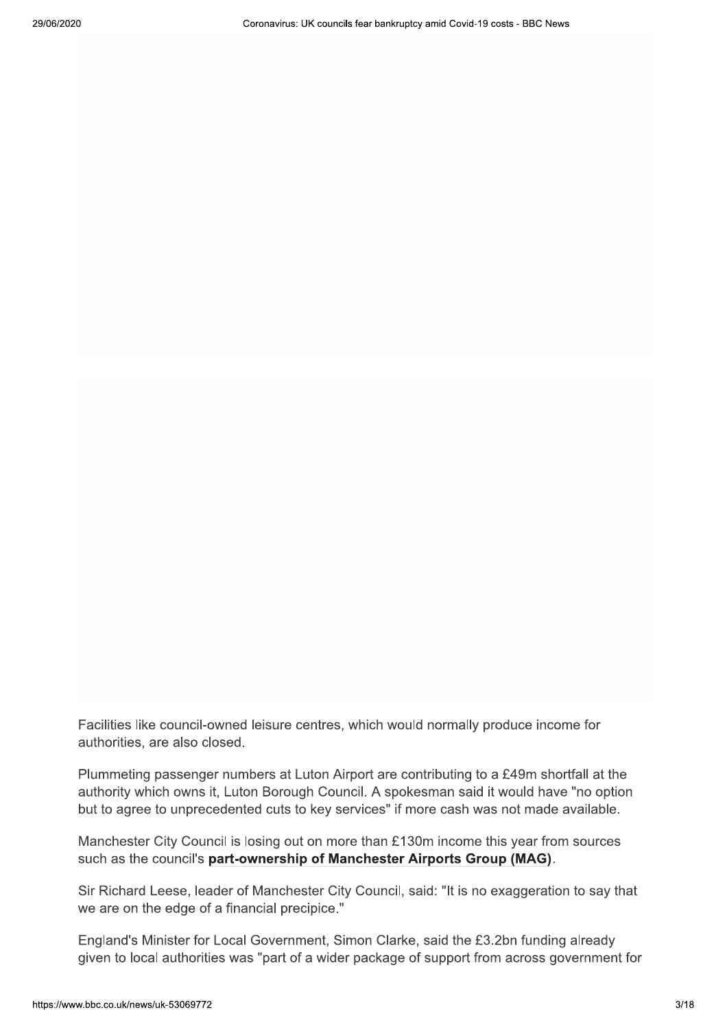Facilities like council-owned leisure centres, which would normally produce income for authorities, are also closed.

Plummeting passenger numbers at Luton Airport are contributing to a £49m shortfall at the authority which owns it, Luton Borough Council. A spokesman said it would have "no option but to agree to unprecedented cuts to key services" if more cash was not made available.

Manchester City Council is losing out on more than £130m income this year from sources such as the council's part-ownership of Manchester Airports Group (MAG).

Sir Richard Leese, leader of Manchester City Council, said: "It is no exaggeration to say that we are on the edge of a financial precipice."

England's Minister for Local Government, Simon Clarke, said the £3.2bn funding already given to local authorities was "part of a wider package of support from across government for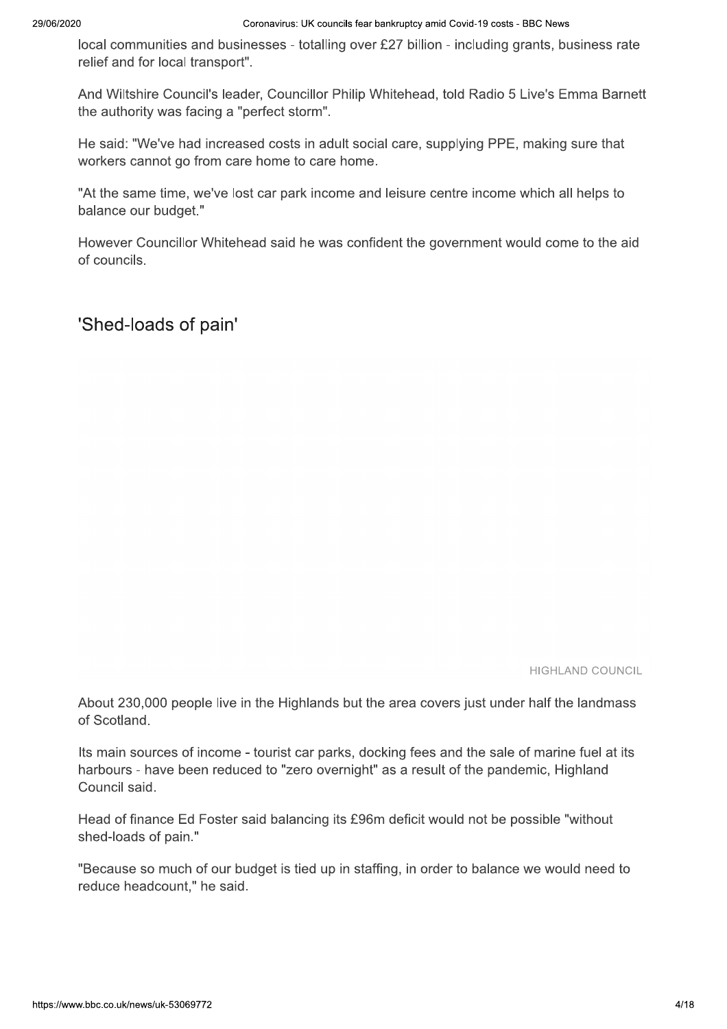local communities and businesses - totalling over £27 billion - including grants, business rate relief and for local transport".

And Wiltshire Council's leader, Councillor Philip Whitehead, told Radio 5 Live's Emma Barnett the authority was facing a "perfect storm".

He said: "We've had increased costs in adult social care, supplying PPE, making sure that workers cannot go from care home to care home.

"At the same time, we've lost car park income and leisure centre income which all helps to balance our budget."

However Councillor Whitehead said he was confident the government would come to the aid of councils.

'Shed-loads of pain'

**HIGHLAND COUNCIL** 

About 230,000 people live in the Highlands but the area covers just under half the landmass of Scotland.

Its main sources of income - tourist car parks, docking fees and the sale of marine fuel at its harbours - have been reduced to "zero overnight" as a result of the pandemic, Highland Council said.

Head of finance Ed Foster said balancing its £96m deficit would not be possible "without shed-loads of pain."

"Because so much of our budget is tied up in staffing, in order to balance we would need to reduce headcount," he said.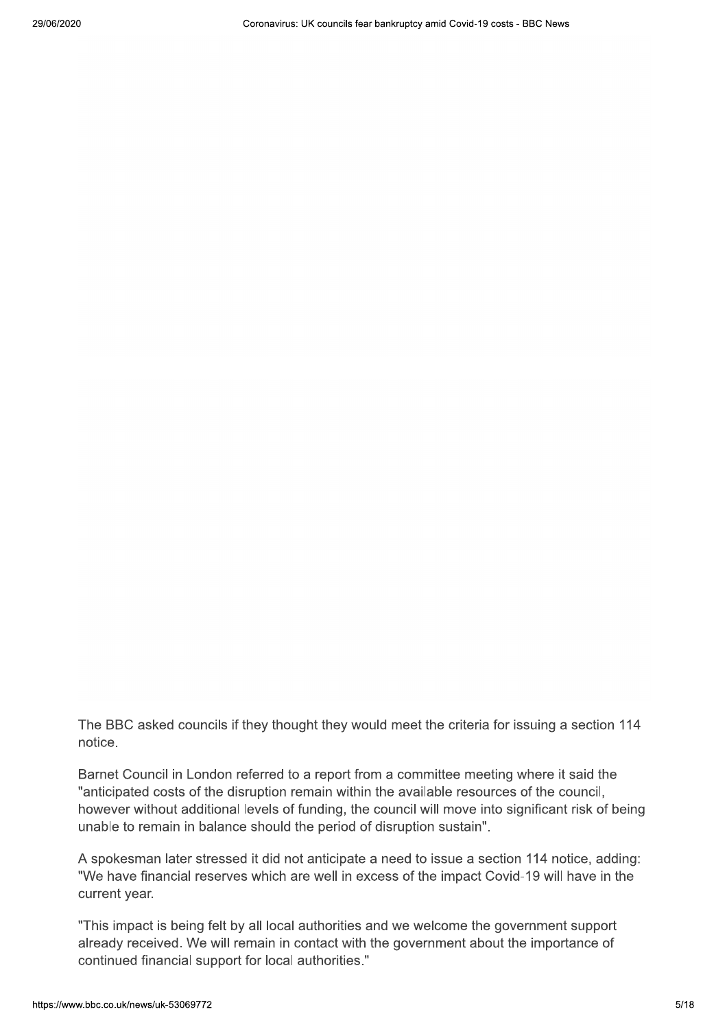The BBC asked councils if they thought they would meet the criteria for issuing a section 114 notice.

Barnet Council in London referred to a report from a committee meeting where it said the "anticipated costs of the disruption remain within the available resources of the council, however without additional levels of funding, the council will move into significant risk of being unable to remain in balance should the period of disruption sustain".

A spokesman later stressed it did not anticipate a need to issue a section 114 notice, adding: "We have financial reserves which are well in excess of the impact Covid-19 will have in the current year.

"This impact is being felt by all local authorities and we welcome the government support already received. We will remain in contact with the government about the importance of continued financial support for local authorities."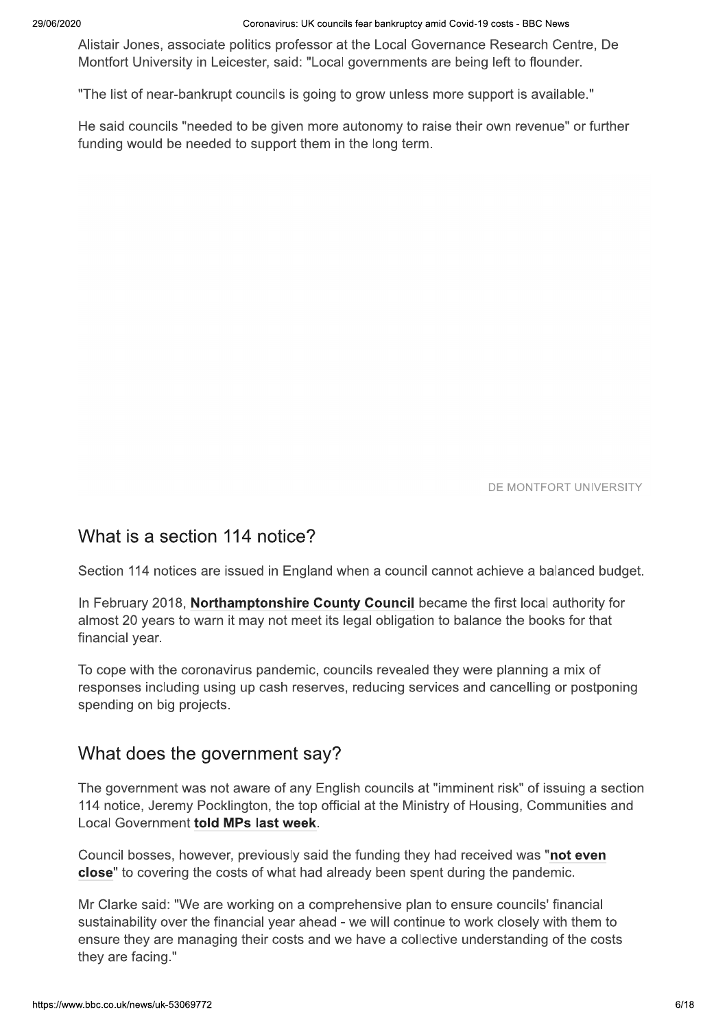Coronavirus: UK councils fear bankruptcy amid Covid-19 costs - BBC News

Alistair Jones, associate politics professor at the Local Governance Research Centre, De Montfort University in Leicester, said: "Local governments are being left to flounder.

"The list of near-bankrupt councils is going to grow unless more support is available."

He said councils "needed to be given more autonomy to raise their own revenue" or further funding would be needed to support them in the long term.

DE MONTFORT UNIVERSITY

### What is a section 114 notice?

Section 114 notices are issued in England when a council cannot achieve a balanced budget.

In February 2018, Northamptonshire County Council became the first local authority for almost 20 years to warn it may not meet its legal obligation to balance the books for that financial year.

To cope with the coronavirus pandemic, councils revealed they were planning a mix of responses including using up cash reserves, reducing services and cancelling or postponing spending on big projects.

### What does the government say?

The government was not aware of any English councils at "imminent risk" of issuing a section 114 notice, Jeremy Pocklington, the top official at the Ministry of Housing, Communities and Local Government told MPs last week.

Council bosses, however, previously said the funding they had received was "not even close" to covering the costs of what had already been spent during the pandemic.

Mr Clarke said: "We are working on a comprehensive plan to ensure councils' financial sustainability over the financial year ahead - we will continue to work closely with them to ensure they are managing their costs and we have a collective understanding of the costs they are facing."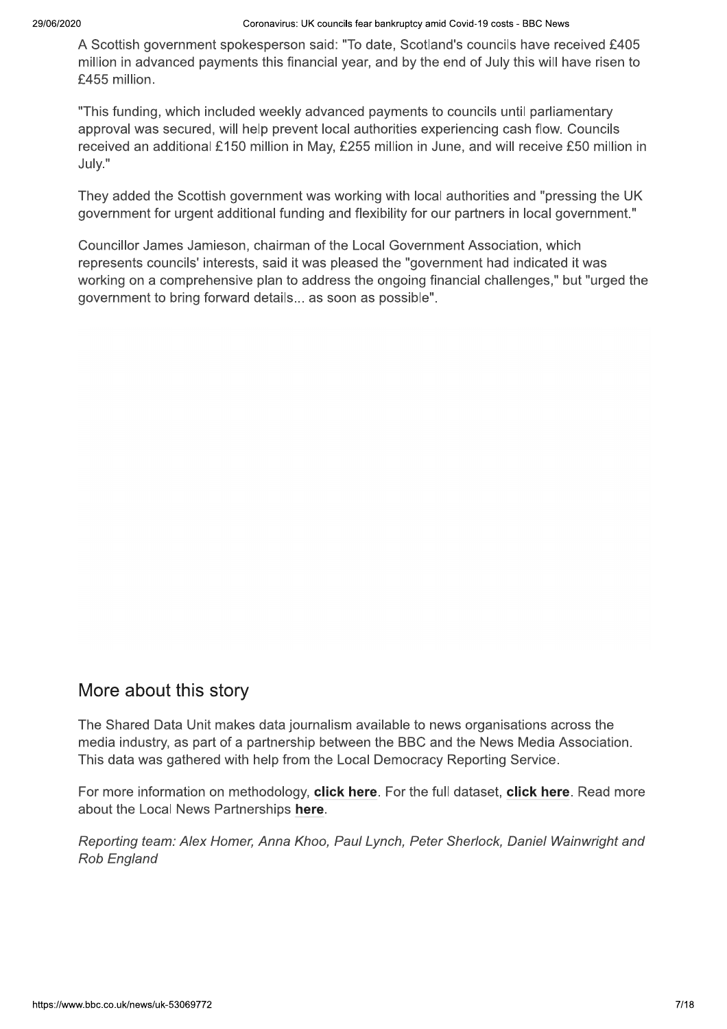A Scottish government spokesperson said: "To date, Scotland's councils have received £405 million in advanced payments this financial year, and by the end of July this will have risen to £455 million.

"This funding, which included weekly advanced payments to councils until parliamentary approval was secured, will help prevent local authorities experiencing cash flow. Councils received an additional £150 million in May, £255 million in June, and will receive £50 million in July."

They added the Scottish government was working with local authorities and "pressing the UK government for urgent additional funding and flexibility for our partners in local government."

Councillor James Jamieson, chairman of the Local Government Association, which represents councils' interests, said it was pleased the "government had indicated it was working on a comprehensive plan to address the ongoing financial challenges," but "urged the government to bring forward details... as soon as possible".

### More about this story

The Shared Data Unit makes data journalism available to news organisations across the media industry, as part of a partnership between the BBC and the News Media Association. This data was gathered with help from the Local Democracy Reporting Service.

For more information on methodology, click here. For the full dataset, click here. Read more about the Local News Partnerships here.

Reporting team: Alex Homer, Anna Khoo, Paul Lynch, Peter Sherlock, Daniel Wainwright and **Rob England**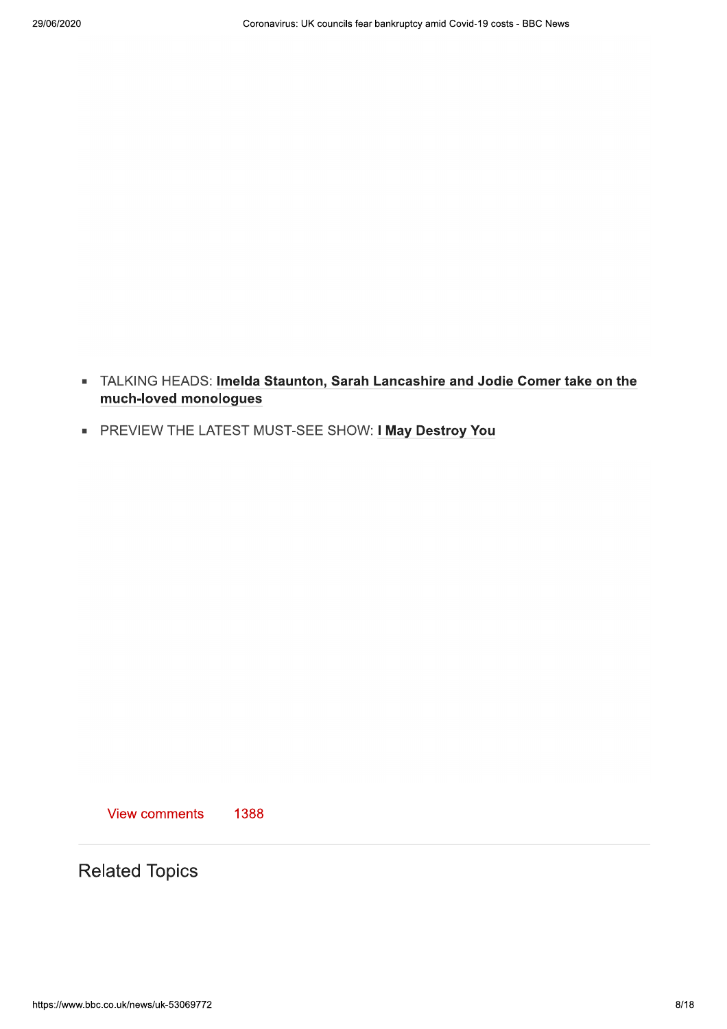- TALKING HEADS: Imelda Staunton, Sarah Lancashire and Jodie Comer take on the much-loved monologues
- PREVIEW THE LATEST MUST-SEE SHOW: I May Destroy You

View comments 1388

**Related Topics**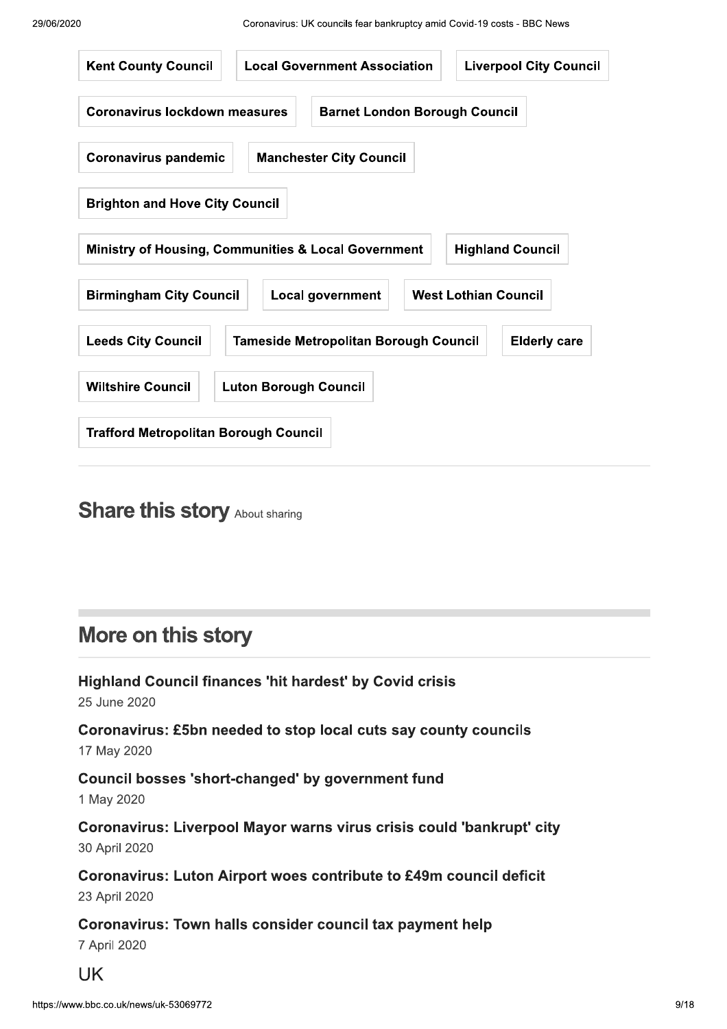

# **Share this story About sharing**

# More on this story

**Highland Council finances 'hit hardest' by Covid crisis** 25 June 2020

Coronavirus: £5bn needed to stop local cuts say county councils 17 May 2020

Council bosses 'short-changed' by government fund 1 May 2020

Coronavirus: Liverpool Mayor warns virus crisis could 'bankrupt' city 30 April 2020

Coronavirus: Luton Airport woes contribute to £49m council deficit 23 April 2020

Coronavirus: Town halls consider council tax payment help 7 April 2020

**UK**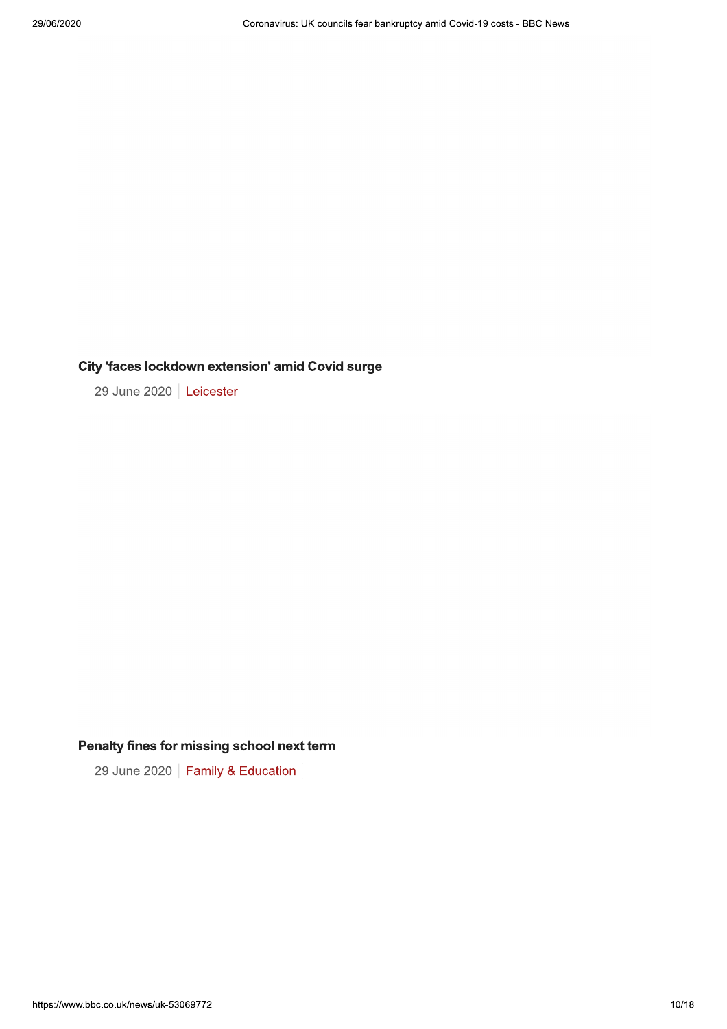#### City 'faces lockdown extension' amid Covid surge

29 June 2020 | Leicester

### Penalty fines for missing school next term

29 June 2020 | Family & Education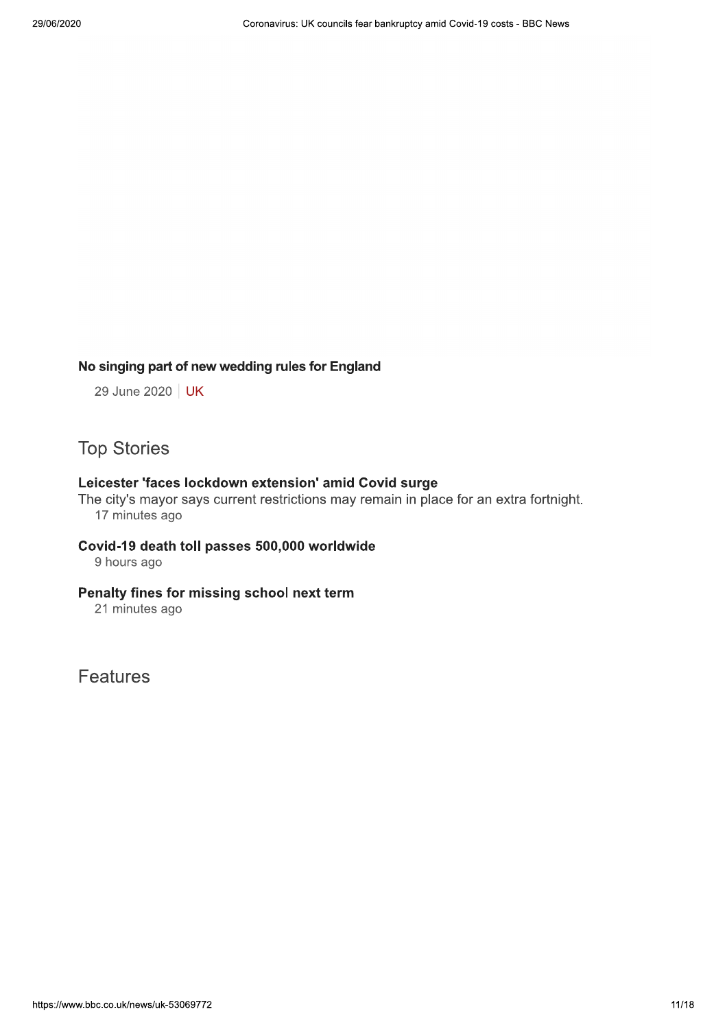#### No singing part of new wedding rules for England

29 June 2020 | UK

### **Top Stories**

#### Leicester 'faces lockdown extension' amid Covid surge

The city's mayor says current restrictions may remain in place for an extra fortnight. 17 minutes ago

#### Covid-19 death toll passes 500,000 worldwide 9 hours ago

#### Penalty fines for missing school next term

21 minutes ago

**Features**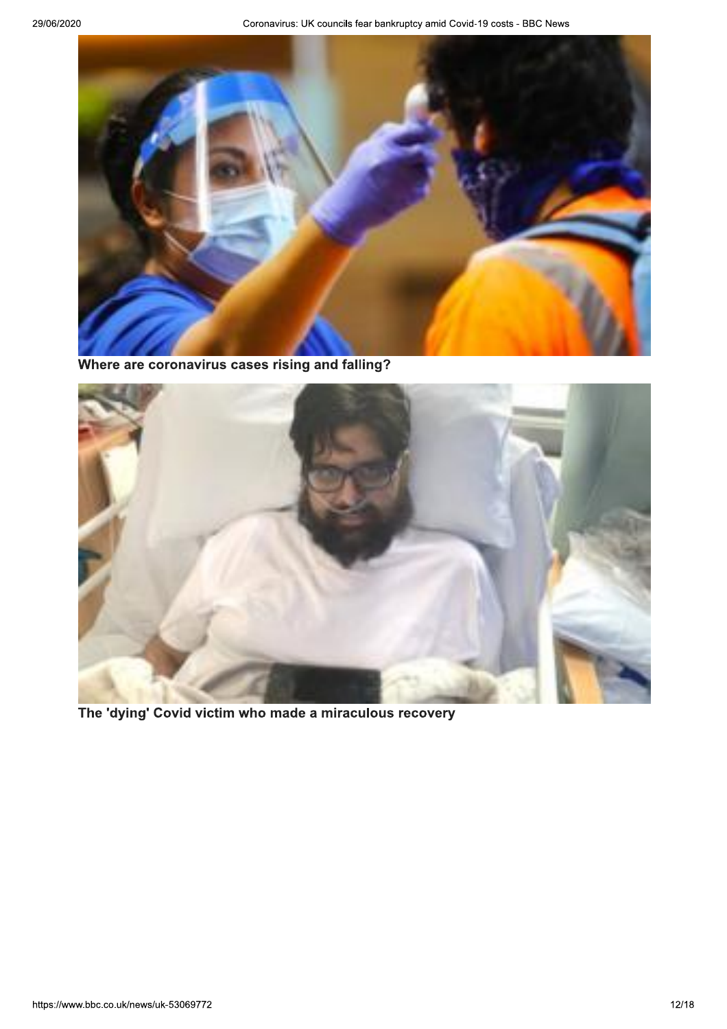

Where are coronavirus cases rising and falling?



The 'dying' Covid victim who made a miraculous recovery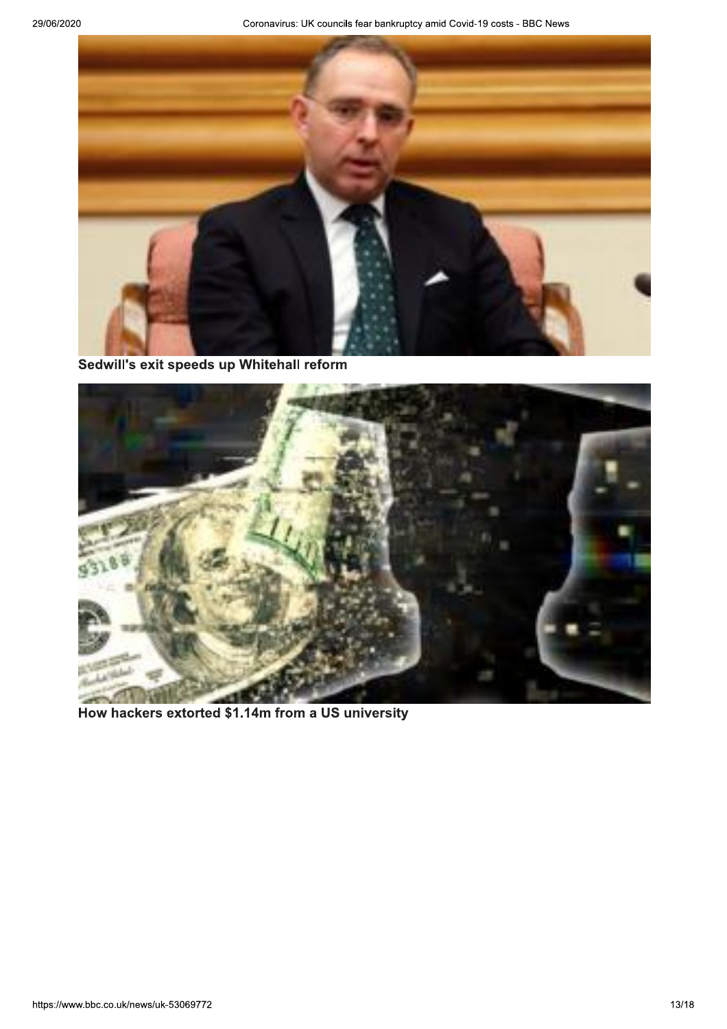

Sedwill's exit speeds up Whitehall reform



How hackers extorted \$1.14m from a US university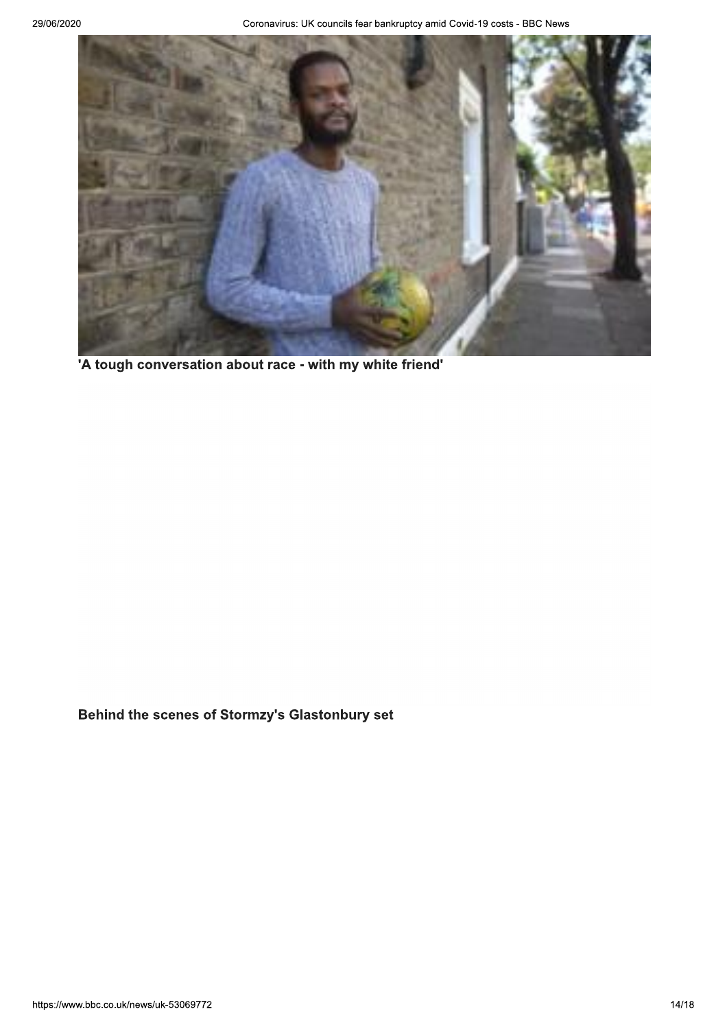

'A tough conversation about race - with my white friend'

Behind the scenes of Stormzy's Glastonbury set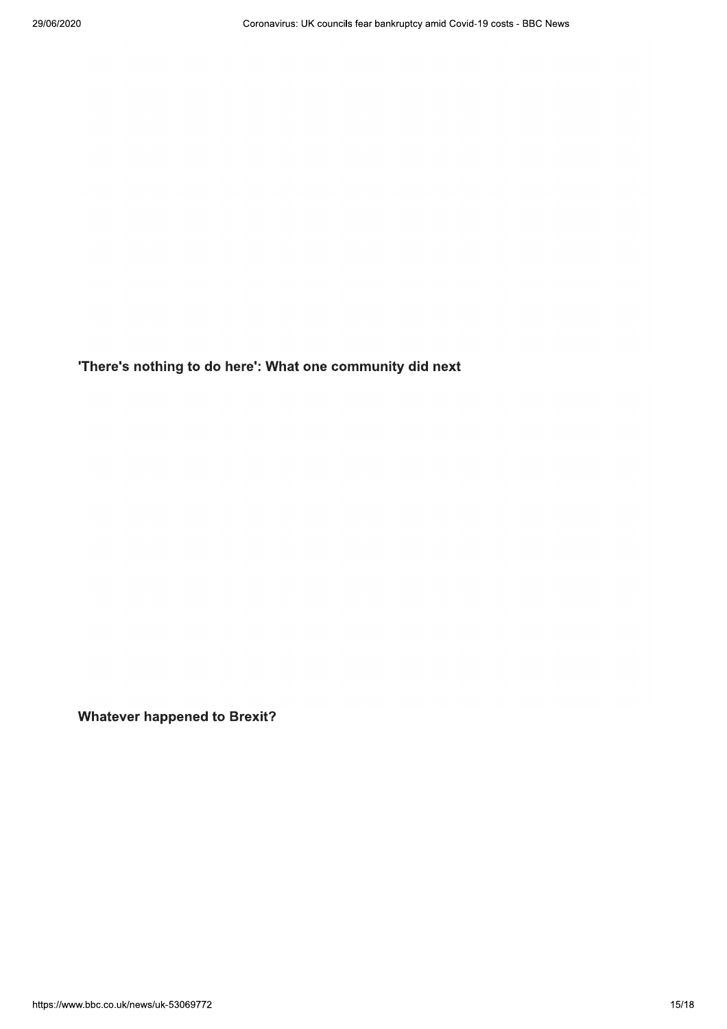'There's nothing to do here': What one community did next

**Whatever happened to Brexit?**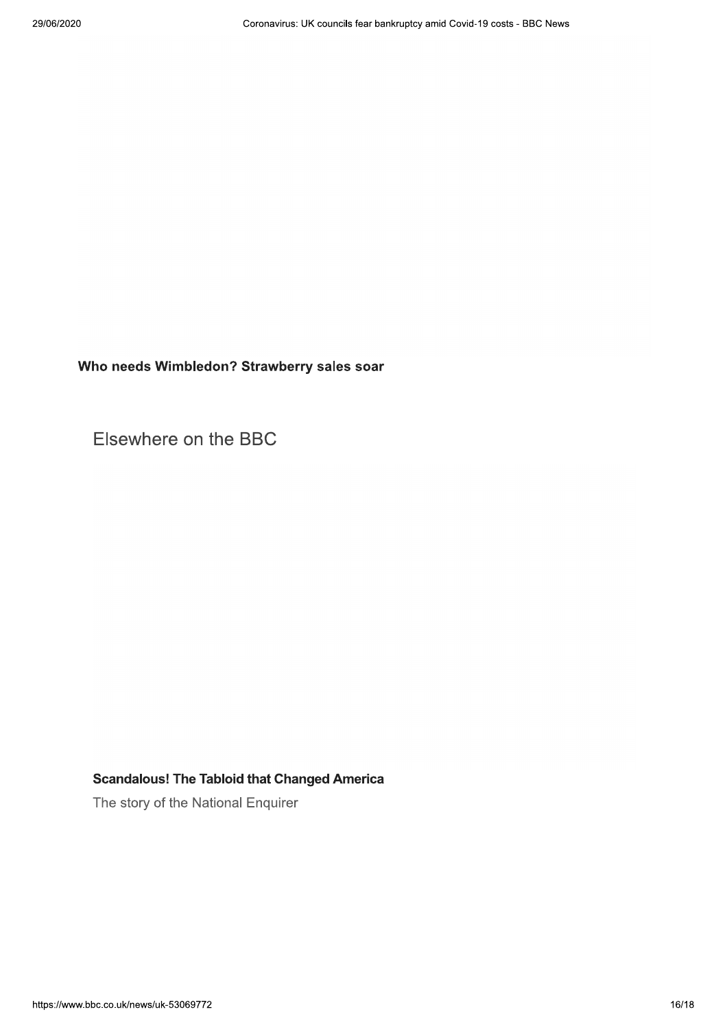Who needs Wimbledon? Strawberry sales soar

Elsewhere on the BBC

#### **Scandalous! The Tabloid that Changed America**

The story of the National Enquirer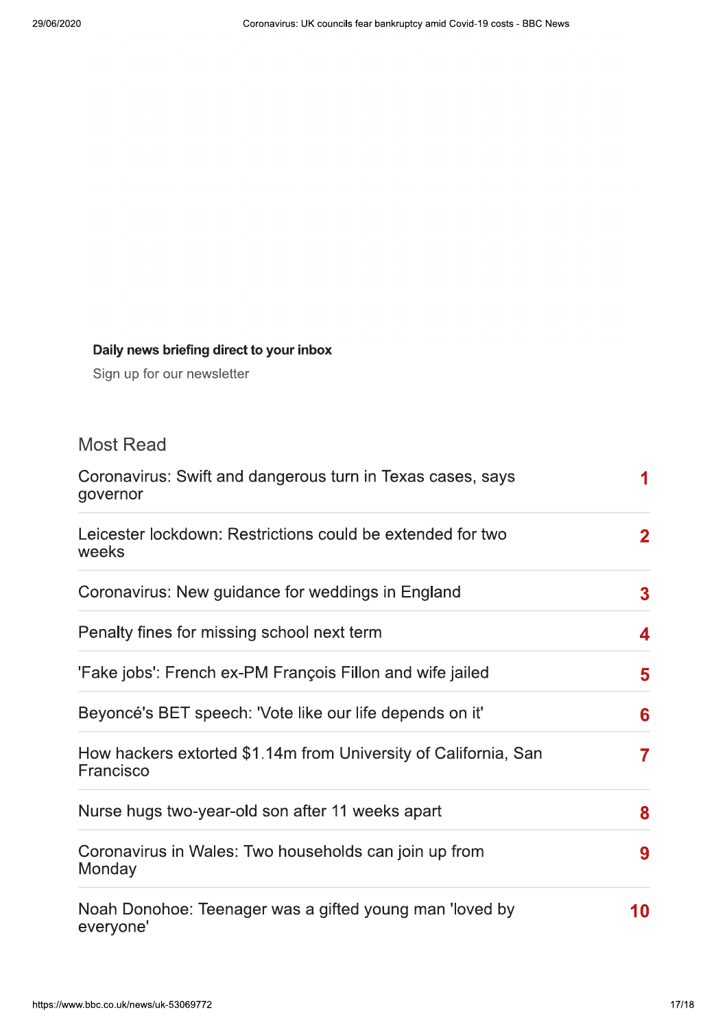### Daily news briefing direct to your inbox

Sign up for our newsletter

## **Most Read**

| Coronavirus: Swift and dangerous turn in Texas cases, says<br>governor       |                |  |
|------------------------------------------------------------------------------|----------------|--|
| Leicester lockdown: Restrictions could be extended for two<br>weeks          | $\mathbf{2}$   |  |
| Coronavirus: New guidance for weddings in England                            | 3 <sup>1</sup> |  |
| Penalty fines for missing school next term                                   | 4              |  |
| 'Fake jobs': French ex-PM François Fillon and wife jailed                    | 5              |  |
| Beyoncé's BET speech: 'Vote like our life depends on it'                     | 6              |  |
| How hackers extorted \$1.14m from University of California, San<br>Francisco | $\overline{7}$ |  |
| Nurse hugs two-year-old son after 11 weeks apart                             | 8              |  |
| Coronavirus in Wales: Two households can join up from<br>Monday              |                |  |
| Noah Donohoe: Teenager was a gifted young man 'loved by<br>everyone'         |                |  |